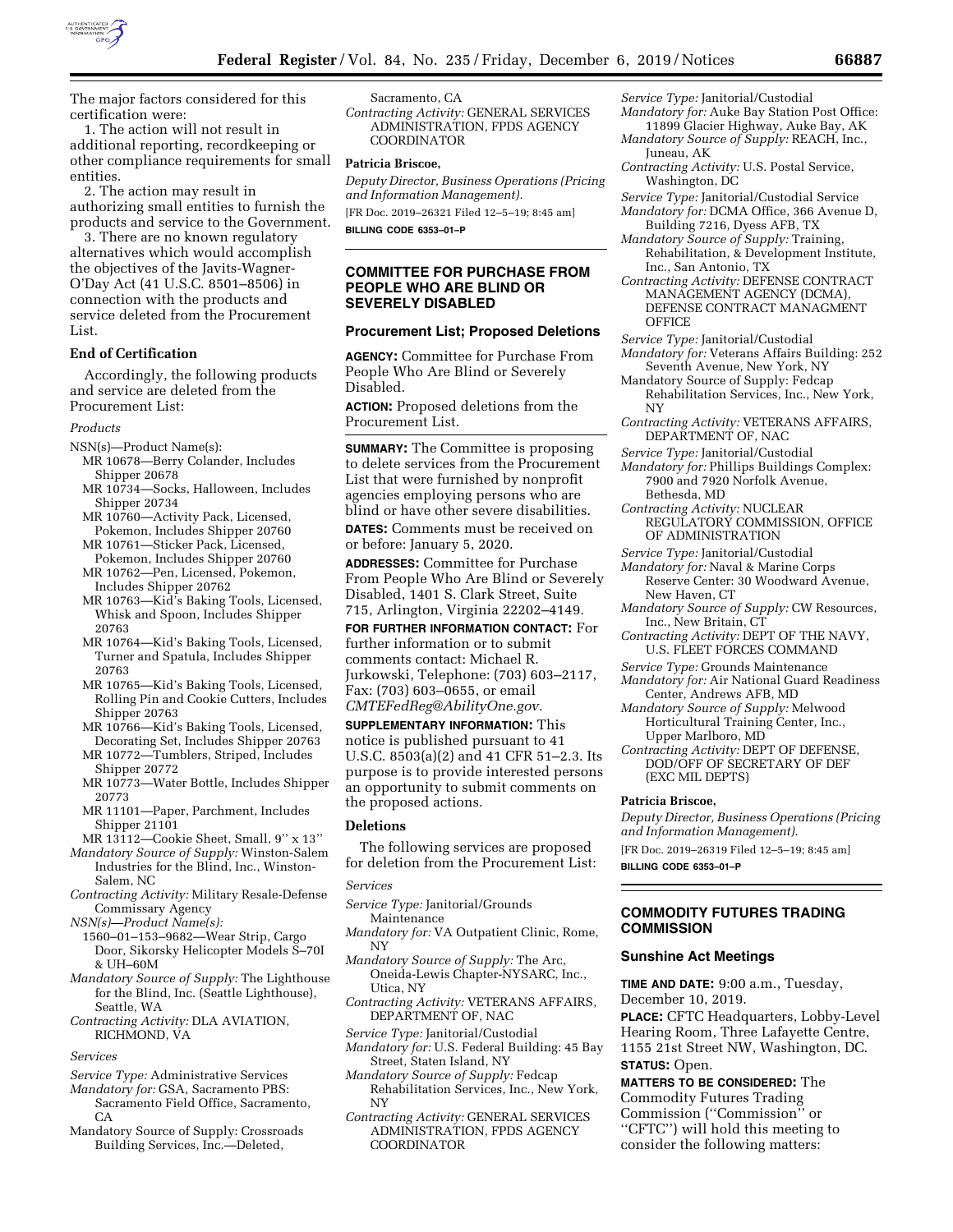

The major factors considered for this certification were:

1. The action will not result in additional reporting, recordkeeping or other compliance requirements for small entities.

2. The action may result in authorizing small entities to furnish the products and service to the Government.

3. There are no known regulatory alternatives which would accomplish the objectives of the Javits-Wagner-O'Day Act (41 U.S.C. 8501–8506) in connection with the products and service deleted from the Procurement List.

#### **End of Certification**

Accordingly, the following products and service are deleted from the Procurement List:

#### *Products*

NSN(s)—Product Name(s):

- MR 10678—Berry Colander, Includes Shipper 20678
- MR 10734—Socks, Halloween, Includes Shipper 20734
- MR 10760—Activity Pack, Licensed, Pokemon, Includes Shipper 20760
- MR 10761—Sticker Pack, Licensed, Pokemon, Includes Shipper 20760
- MR 10762—Pen, Licensed, Pokemon, Includes Shipper 20762
- MR 10763—Kid's Baking Tools, Licensed, Whisk and Spoon, Includes Shipper 20763
- MR 10764—Kid's Baking Tools, Licensed, Turner and Spatula, Includes Shipper 20763
- MR 10765—Kid's Baking Tools, Licensed, Rolling Pin and Cookie Cutters, Includes Shipper 20763
- MR 10766—Kid's Baking Tools, Licensed, Decorating Set, Includes Shipper 20763
- MR 10772—Tumblers, Striped, Includes Shipper 20772
- MR 10773—Water Bottle, Includes Shipper 20773
- MR 11101—Paper, Parchment, Includes Shipper 21101

MR 13112—Cookie Sheet, Small, 9'' x 13''

*Mandatory Source of Supply:* Winston-Salem Industries for the Blind, Inc., Winston-Salem, NC

*Contracting Activity:* Military Resale-Defense Commissary Agency

*NSN(s)—Product Name(s):* 

- 1560–01–153–9682—Wear Strip, Cargo Door, Sikorsky Helicopter Models S–70I & UH–60M
- *Mandatory Source of Supply:* The Lighthouse for the Blind, Inc. (Seattle Lighthouse), Seattle, WA
- *Contracting Activity:* DLA AVIATION, RICHMOND, VA

#### *Services*

- *Service Type:* Administrative Services
- *Mandatory for:* GSA, Sacramento PBS: Sacramento Field Office, Sacramento,  $CA$
- Mandatory Source of Supply: Crossroads Building Services, Inc.—Deleted,

Sacramento, CA

*Contracting Activity:* GENERAL SERVICES ADMINISTRATION, FPDS AGENCY COORDINATOR

#### **Patricia Briscoe,**

*Deputy Director, Business Operations (Pricing and Information Management).*  [FR Doc. 2019–26321 Filed 12–5–19; 8:45 am]

**BILLING CODE 6353–01–P** 

#### **COMMITTEE FOR PURCHASE FROM PEOPLE WHO ARE BLIND OR SEVERELY DISABLED**

#### **Procurement List; Proposed Deletions**

**AGENCY:** Committee for Purchase From People Who Are Blind or Severely Disabled.

**ACTION:** Proposed deletions from the Procurement List.

**SUMMARY:** The Committee is proposing to delete services from the Procurement List that were furnished by nonprofit agencies employing persons who are blind or have other severe disabilities.

**DATES:** Comments must be received on or before: January 5, 2020.

**ADDRESSES:** Committee for Purchase From People Who Are Blind or Severely Disabled, 1401 S. Clark Street, Suite 715, Arlington, Virginia 22202–4149.

**FOR FURTHER INFORMATION CONTACT:** For further information or to submit comments contact: Michael R. Jurkowski, Telephone: (703) 603–2117, Fax: (703) 603–0655, or email *[CMTEFedReg@AbilityOne.gov.](mailto:CMTEFedReg@AbilityOne.gov)* 

**SUPPLEMENTARY INFORMATION:** This notice is published pursuant to 41 U.S.C. 8503(a)(2) and 41 CFR 51–2.3. Its purpose is to provide interested persons an opportunity to submit comments on the proposed actions.

#### **Deletions**

The following services are proposed for deletion from the Procurement List:

#### *Services*

- *Service Type:* Janitorial/Grounds Maintenance
- *Mandatory for:* VA Outpatient Clinic, Rome, NY
- *Mandatory Source of Supply:* The Arc, Oneida-Lewis Chapter-NYSARC, Inc., Utica, NY
- *Contracting Activity:* VETERANS AFFAIRS, DEPARTMENT OF, NAC
- *Service Type:* Janitorial/Custodial
- *Mandatory for:* U.S. Federal Building: 45 Bay Street, Staten Island, NY
- *Mandatory Source of Supply:* Fedcap Rehabilitation Services, Inc., New York, NY
- *Contracting Activity:* GENERAL SERVICES ADMINISTRATION, FPDS AGENCY COORDINATOR

*Service Type:* Janitorial/Custodial

- *Mandatory for:* Auke Bay Station Post Office: 11899 Glacier Highway, Auke Bay, AK
- *Mandatory Source of Supply:* REACH, Inc., Juneau, AK
- *Contracting Activity:* U.S. Postal Service, Washington, DC
- *Service Type:* Janitorial/Custodial Service *Mandatory for:* DCMA Office, 366 Avenue D, Building 7216, Dyess AFB, TX
- *Mandatory Source of Supply:* Training, Rehabilitation, & Development Institute, Inc., San Antonio, TX
- *Contracting Activity:* DEFENSE CONTRACT MANAGEMENT AGENCY (DCMA), DEFENSE CONTRACT MANAGMENT **OFFICE**
- *Service Type:* Janitorial/Custodial
- *Mandatory for:* Veterans Affairs Building: 252 Seventh Avenue, New York, NY
- Mandatory Source of Supply: Fedcap Rehabilitation Services, Inc., New York, NY
- *Contracting Activity:* VETERANS AFFAIRS, DEPARTMENT OF, NAC
- *Service Type:* Janitorial/Custodial
- *Mandatory for:* Phillips Buildings Complex: 7900 and 7920 Norfolk Avenue, Bethesda, MD
- *Contracting Activity:* NUCLEAR REGULATORY COMMISSION, OFFICE OF ADMINISTRATION
- *Service Type:* Janitorial/Custodial
- *Mandatory for:* Naval & Marine Corps Reserve Center: 30 Woodward Avenue,
- New Haven, CT
- *Mandatory Source of Supply:* CW Resources, Inc., New Britain, CT
- *Contracting Activity:* DEPT OF THE NAVY, U.S. FLEET FORCES COMMAND
- *Service Type:* Grounds Maintenance
- *Mandatory for:* Air National Guard Readiness Center, Andrews AFB, MD
- *Mandatory Source of Supply:* Melwood Horticultural Training Center, Inc., Upper Marlboro, MD
- *Contracting Activity:* DEPT OF DEFENSE, DOD/OFF OF SECRETARY OF DEF (EXC MIL DEPTS)

#### **Patricia Briscoe,**

*Deputy Director, Business Operations (Pricing and Information Management).* 

[FR Doc. 2019–26319 Filed 12–5–19; 8:45 am]

**BILLING CODE 6353–01–P** 

### **COMMODITY FUTURES TRADING COMMISSION**

#### **Sunshine Act Meetings**

**TIME AND DATE:** 9:00 a.m., Tuesday,

December 10, 2019.

**PLACE:** CFTC Headquarters, Lobby-Level Hearing Room, Three Lafayette Centre, 1155 21st Street NW, Washington, DC. **STATUS:** Open.

# **MATTERS TO BE CONSIDERED:** The

Commodity Futures Trading Commission (''Commission'' or ''CFTC'') will hold this meeting to consider the following matters: